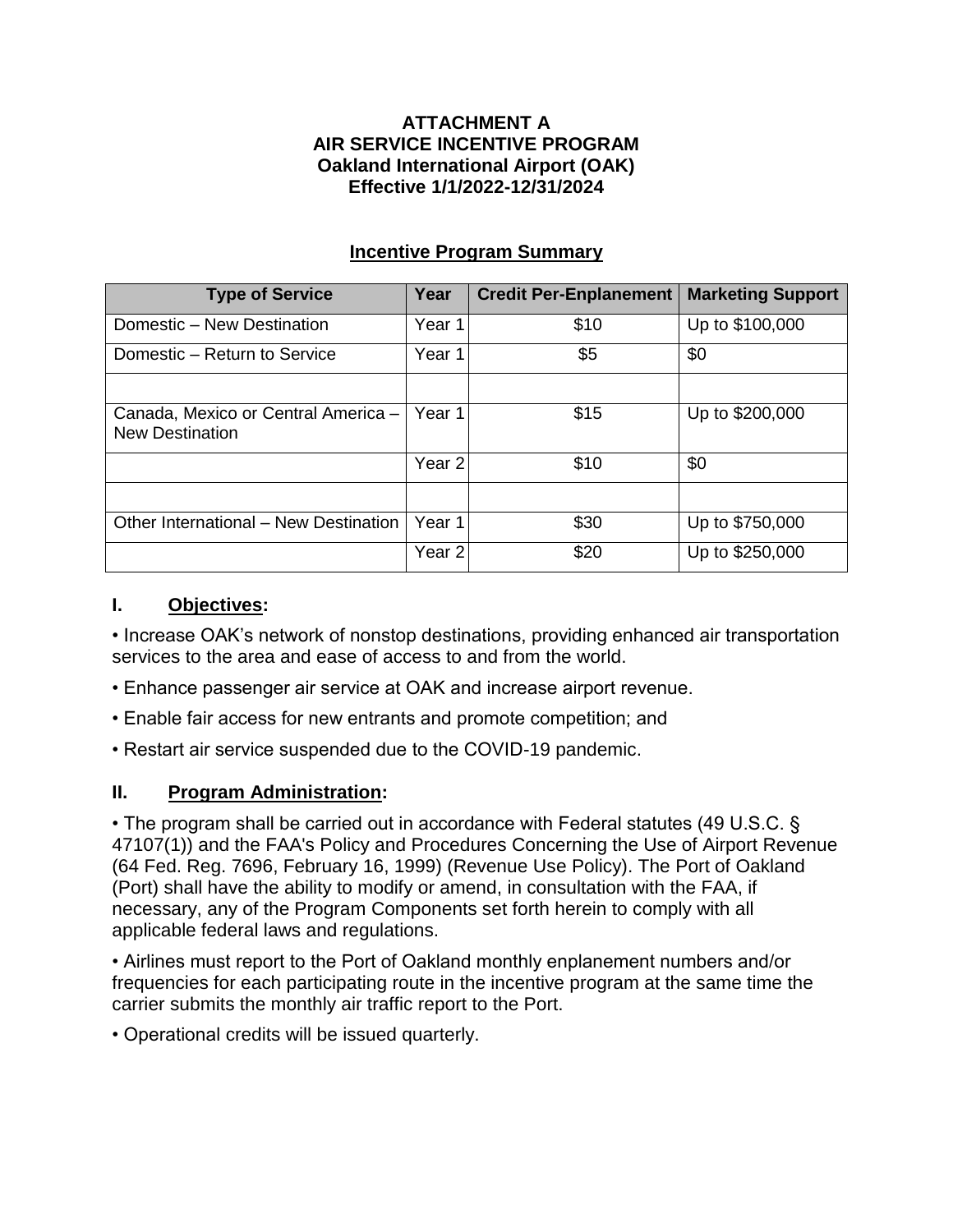## **ATTACHMENT A AIR SERVICE INCENTIVE PROGRAM Oakland International Airport (OAK) Effective 1/1/2022-12/31/2024**

| <b>Type of Service</b>                                        | Year              | <b>Credit Per-Enplanement</b> | <b>Marketing Support</b> |
|---------------------------------------------------------------|-------------------|-------------------------------|--------------------------|
| Domestic - New Destination                                    | Year 1            | \$10                          | Up to \$100,000          |
| Domestic – Return to Service                                  | Year 1            | \$5                           | \$0                      |
|                                                               |                   |                               |                          |
| Canada, Mexico or Central America -<br><b>New Destination</b> | Year 1            | \$15                          | Up to \$200,000          |
|                                                               | Year <sub>2</sub> | \$10                          | \$0                      |
|                                                               |                   |                               |                          |
| Other International – New Destination                         | Year 1            | \$30                          | Up to \$750,000          |
|                                                               | Year <sub>2</sub> | \$20                          | Up to \$250,000          |

# **Incentive Program Summary**

#### **I. Objectives:**

• Increase OAK's network of nonstop destinations, providing enhanced air transportation services to the area and ease of access to and from the world.

- Enhance passenger air service at OAK and increase airport revenue.
- Enable fair access for new entrants and promote competition; and
- Restart air service suspended due to the COVID-19 pandemic.

# **II. Program Administration:**

• The program shall be carried out in accordance with Federal statutes (49 U.S.C. § 47107(1)) and the FAA's Policy and Procedures Concerning the Use of Airport Revenue (64 Fed. Reg. 7696, February 16, 1999) (Revenue Use Policy). The Port of Oakland (Port) shall have the ability to modify or amend, in consultation with the FAA, if necessary, any of the Program Components set forth herein to comply with all applicable federal laws and regulations.

• Airlines must report to the Port of Oakland monthly enplanement numbers and/or frequencies for each participating route in the incentive program at the same time the carrier submits the monthly air traffic report to the Port.

• Operational credits will be issued quarterly.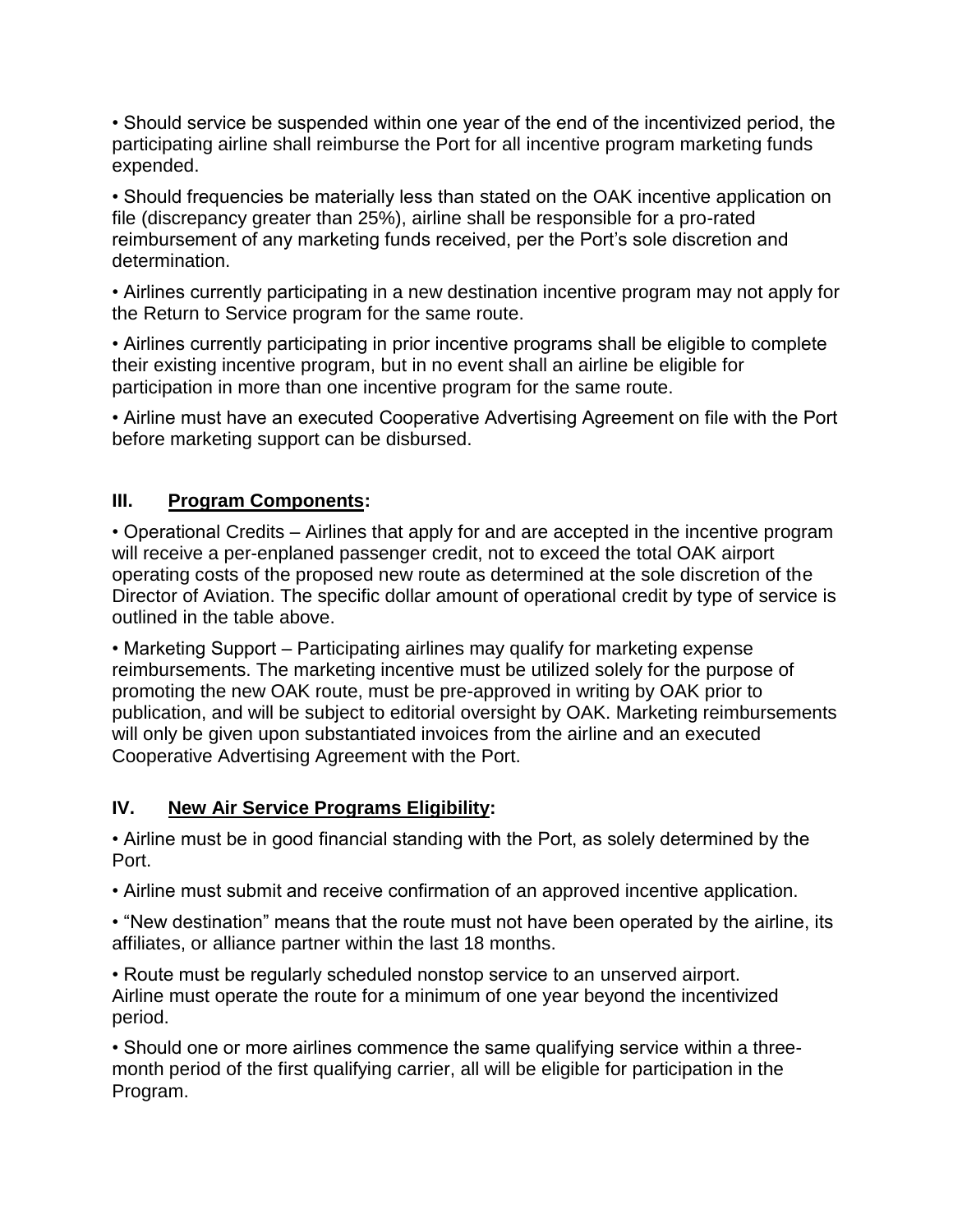• Should service be suspended within one year of the end of the incentivized period, the participating airline shall reimburse the Port for all incentive program marketing funds expended.

• Should frequencies be materially less than stated on the OAK incentive application on file (discrepancy greater than 25%), airline shall be responsible for a pro-rated reimbursement of any marketing funds received, per the Port's sole discretion and determination.

• Airlines currently participating in a new destination incentive program may not apply for the Return to Service program for the same route.

• Airlines currently participating in prior incentive programs shall be eligible to complete their existing incentive program, but in no event shall an airline be eligible for participation in more than one incentive program for the same route.

• Airline must have an executed Cooperative Advertising Agreement on file with the Port before marketing support can be disbursed.

# **III. Program Components:**

• Operational Credits – Airlines that apply for and are accepted in the incentive program will receive a per-enplaned passenger credit, not to exceed the total OAK airport operating costs of the proposed new route as determined at the sole discretion of the Director of Aviation. The specific dollar amount of operational credit by type of service is outlined in the table above.

• Marketing Support – Participating airlines may qualify for marketing expense reimbursements. The marketing incentive must be utilized solely for the purpose of promoting the new OAK route, must be pre-approved in writing by OAK prior to publication, and will be subject to editorial oversight by OAK. Marketing reimbursements will only be given upon substantiated invoices from the airline and an executed Cooperative Advertising Agreement with the Port.

# **IV. New Air Service Programs Eligibility:**

• Airline must be in good financial standing with the Port, as solely determined by the Port.

• Airline must submit and receive confirmation of an approved incentive application.

• "New destination" means that the route must not have been operated by the airline, its affiliates, or alliance partner within the last 18 months.

• Route must be regularly scheduled nonstop service to an unserved airport. Airline must operate the route for a minimum of one year beyond the incentivized period.

• Should one or more airlines commence the same qualifying service within a threemonth period of the first qualifying carrier, all will be eligible for participation in the Program.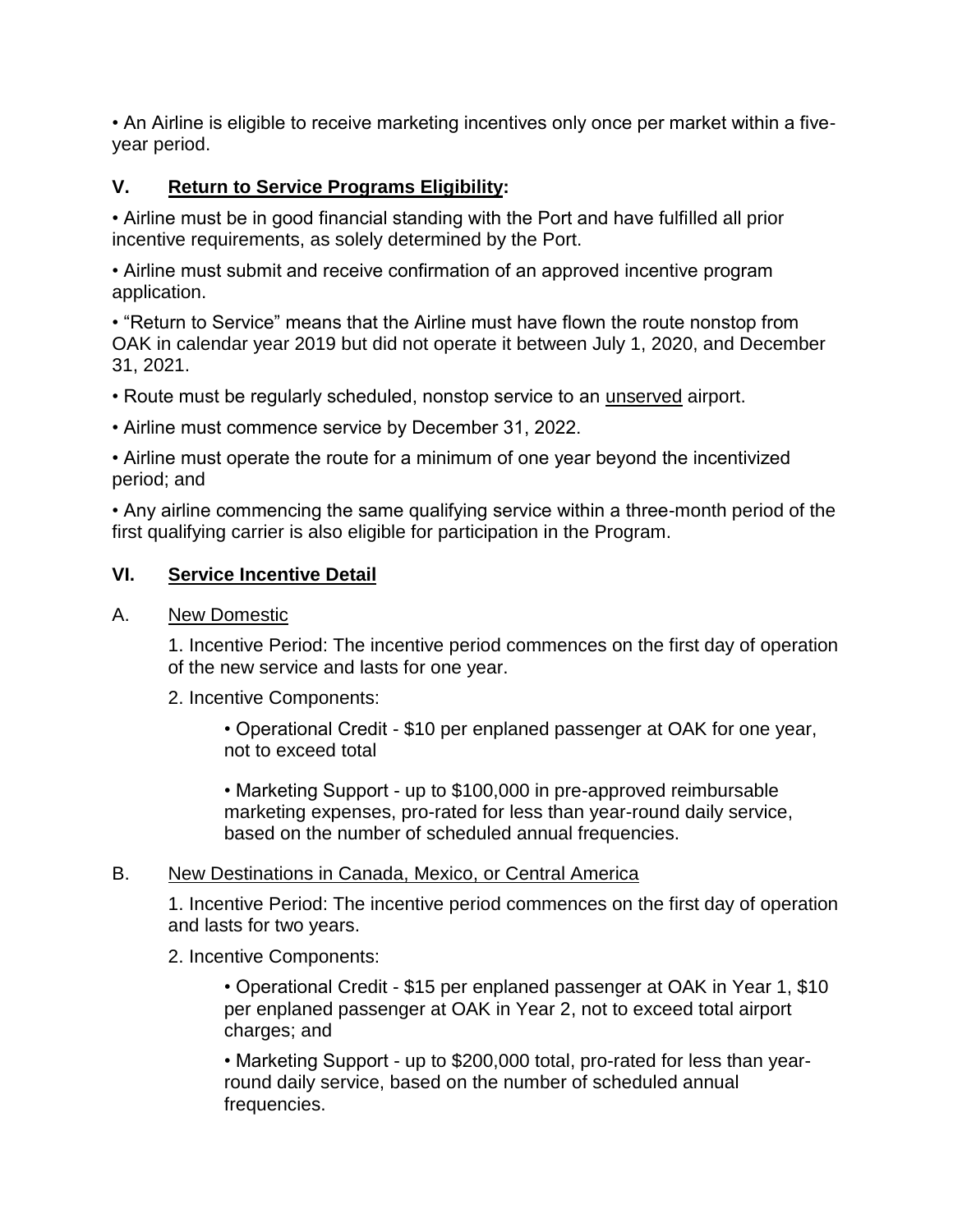• An Airline is eligible to receive marketing incentives only once per market within a fiveyear period.

# **V. Return to Service Programs Eligibility:**

• Airline must be in good financial standing with the Port and have fulfilled all prior incentive requirements, as solely determined by the Port.

• Airline must submit and receive confirmation of an approved incentive program application.

• "Return to Service" means that the Airline must have flown the route nonstop from OAK in calendar year 2019 but did not operate it between July 1, 2020, and December 31, 2021.

• Route must be regularly scheduled, nonstop service to an unserved airport.

• Airline must commence service by December 31, 2022.

• Airline must operate the route for a minimum of one year beyond the incentivized period; and

• Any airline commencing the same qualifying service within a three-month period of the first qualifying carrier is also eligible for participation in the Program.

## **VI. Service Incentive Detail**

#### A. New Domestic

1. Incentive Period: The incentive period commences on the first day of operation of the new service and lasts for one year.

#### 2. Incentive Components:

• Operational Credit - \$10 per enplaned passenger at OAK for one year, not to exceed total

• Marketing Support - up to \$100,000 in pre-approved reimbursable marketing expenses, pro-rated for less than year-round daily service, based on the number of scheduled annual frequencies.

#### B. New Destinations in Canada, Mexico, or Central America

1. Incentive Period: The incentive period commences on the first day of operation and lasts for two years.

#### 2. Incentive Components:

• Operational Credit - \$15 per enplaned passenger at OAK in Year 1, \$10 per enplaned passenger at OAK in Year 2, not to exceed total airport charges; and

• Marketing Support - up to \$200,000 total, pro-rated for less than yearround daily service, based on the number of scheduled annual frequencies.